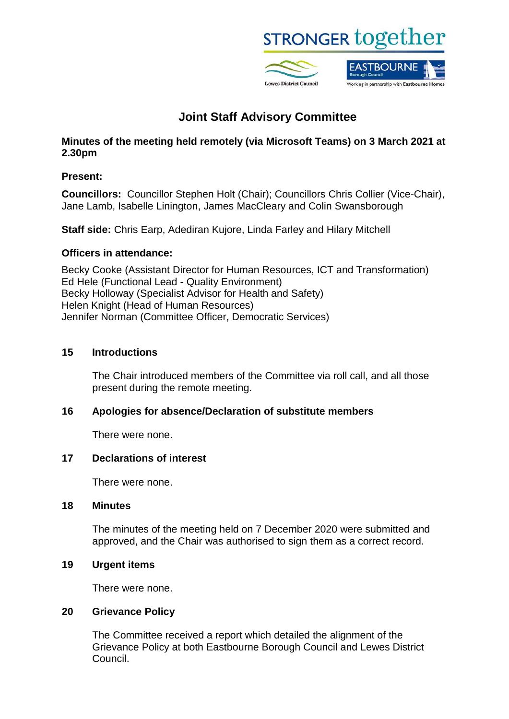

# **Joint Staff Advisory Committee**

**Minutes of the meeting held remotely (via Microsoft Teams) on 3 March 2021 at 2.30pm**

## **Present:**

**Councillors:** Councillor Stephen Holt (Chair); Councillors Chris Collier (Vice-Chair), Jane Lamb, Isabelle Linington, James MacCleary and Colin Swansborough

**Staff side:** Chris Earp, Adediran Kujore, Linda Farley and Hilary Mitchell

## **Officers in attendance:**

Becky Cooke (Assistant Director for Human Resources, ICT and Transformation) Ed Hele (Functional Lead - Quality Environment) Becky Holloway (Specialist Advisor for Health and Safety) Helen Knight (Head of Human Resources) Jennifer Norman (Committee Officer, Democratic Services)

## **15 Introductions**

The Chair introduced members of the Committee via roll call, and all those present during the remote meeting.

# **16 Apologies for absence/Declaration of substitute members**

There were none.

#### **17 Declarations of interest**

There were none.

#### **18 Minutes**

The minutes of the meeting held on 7 December 2020 were submitted and approved, and the Chair was authorised to sign them as a correct record.

#### **19 Urgent items**

There were none.

#### **20 Grievance Policy**

The Committee received a report which detailed the alignment of the Grievance Policy at both Eastbourne Borough Council and Lewes District Council.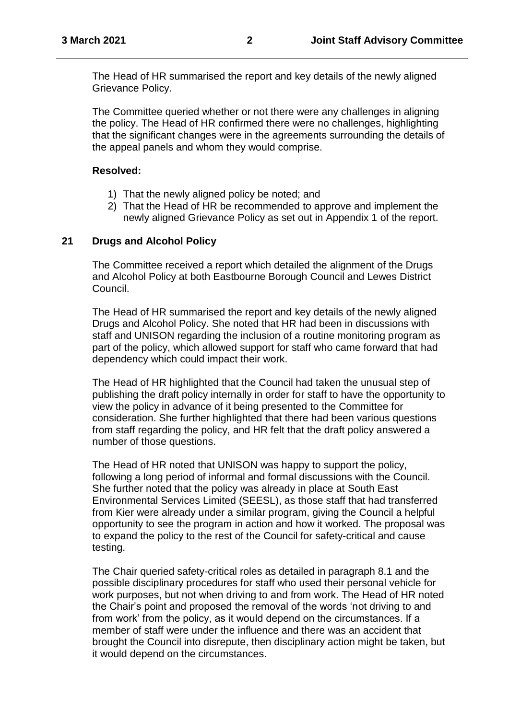The Head of HR summarised the report and key details of the newly aligned Grievance Policy.

The Committee queried whether or not there were any challenges in aligning the policy. The Head of HR confirmed there were no challenges, highlighting that the significant changes were in the agreements surrounding the details of the appeal panels and whom they would comprise.

#### **Resolved:**

- 1) That the newly aligned policy be noted; and
- 2) That the Head of HR be recommended to approve and implement the newly aligned Grievance Policy as set out in Appendix 1 of the report.

### **21 Drugs and Alcohol Policy**

The Committee received a report which detailed the alignment of the Drugs and Alcohol Policy at both Eastbourne Borough Council and Lewes District Council.

The Head of HR summarised the report and key details of the newly aligned Drugs and Alcohol Policy. She noted that HR had been in discussions with staff and UNISON regarding the inclusion of a routine monitoring program as part of the policy, which allowed support for staff who came forward that had dependency which could impact their work.

The Head of HR highlighted that the Council had taken the unusual step of publishing the draft policy internally in order for staff to have the opportunity to view the policy in advance of it being presented to the Committee for consideration. She further highlighted that there had been various questions from staff regarding the policy, and HR felt that the draft policy answered a number of those questions.

The Head of HR noted that UNISON was happy to support the policy, following a long period of informal and formal discussions with the Council. She further noted that the policy was already in place at South East Environmental Services Limited (SEESL), as those staff that had transferred from Kier were already under a similar program, giving the Council a helpful opportunity to see the program in action and how it worked. The proposal was to expand the policy to the rest of the Council for safety-critical and cause testing.

The Chair queried safety-critical roles as detailed in paragraph 8.1 and the possible disciplinary procedures for staff who used their personal vehicle for work purposes, but not when driving to and from work. The Head of HR noted the Chair's point and proposed the removal of the words 'not driving to and from work' from the policy, as it would depend on the circumstances. If a member of staff were under the influence and there was an accident that brought the Council into disrepute, then disciplinary action might be taken, but it would depend on the circumstances.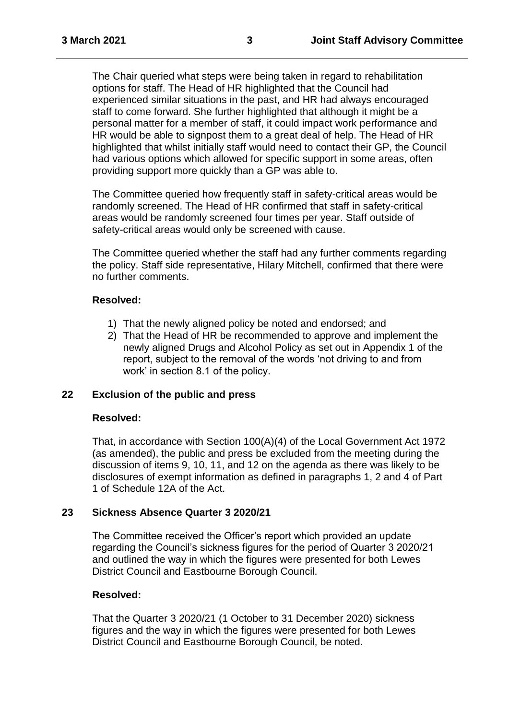The Chair queried what steps were being taken in regard to rehabilitation options for staff. The Head of HR highlighted that the Council had experienced similar situations in the past, and HR had always encouraged staff to come forward. She further highlighted that although it might be a personal matter for a member of staff, it could impact work performance and HR would be able to signpost them to a great deal of help. The Head of HR highlighted that whilst initially staff would need to contact their GP, the Council had various options which allowed for specific support in some areas, often providing support more quickly than a GP was able to.

The Committee queried how frequently staff in safety-critical areas would be randomly screened. The Head of HR confirmed that staff in safety-critical areas would be randomly screened four times per year. Staff outside of safety-critical areas would only be screened with cause.

The Committee queried whether the staff had any further comments regarding the policy. Staff side representative, Hilary Mitchell, confirmed that there were no further comments.

# **Resolved:**

- 1) That the newly aligned policy be noted and endorsed; and
- 2) That the Head of HR be recommended to approve and implement the newly aligned Drugs and Alcohol Policy as set out in Appendix 1 of the report, subject to the removal of the words 'not driving to and from work' in section 8.1 of the policy.

# **22 Exclusion of the public and press**

# **Resolved:**

That, in accordance with Section 100(A)(4) of the Local Government Act 1972 (as amended), the public and press be excluded from the meeting during the discussion of items 9, 10, 11, and 12 on the agenda as there was likely to be disclosures of exempt information as defined in paragraphs 1, 2 and 4 of Part 1 of Schedule 12A of the Act.

# **23 Sickness Absence Quarter 3 2020/21**

The Committee received the Officer's report which provided an update regarding the Council's sickness figures for the period of Quarter 3 2020/21 and outlined the way in which the figures were presented for both Lewes District Council and Eastbourne Borough Council.

# **Resolved:**

That the Quarter 3 2020/21 (1 October to 31 December 2020) sickness figures and the way in which the figures were presented for both Lewes District Council and Eastbourne Borough Council, be noted.